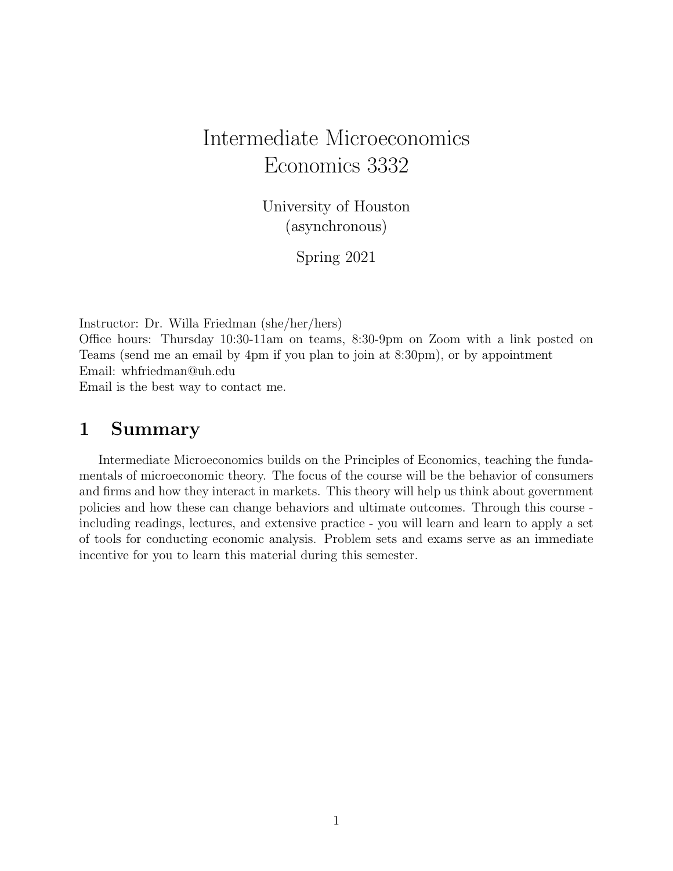# Intermediate Microeconomics Economics 3332

University of Houston (asynchronous)

Spring 2021

Instructor: Dr. Willa Friedman (she/her/hers)

Office hours: Thursday 10:30-11am on teams, 8:30-9pm on Zoom with a link posted on Teams (send me an email by 4pm if you plan to join at 8:30pm), or by appointment Email: whfriedman@uh.edu

Email is the best way to contact me.

### 1 Summary

Intermediate Microeconomics builds on the Principles of Economics, teaching the fundamentals of microeconomic theory. The focus of the course will be the behavior of consumers and firms and how they interact in markets. This theory will help us think about government policies and how these can change behaviors and ultimate outcomes. Through this course including readings, lectures, and extensive practice - you will learn and learn to apply a set of tools for conducting economic analysis. Problem sets and exams serve as an immediate incentive for you to learn this material during this semester.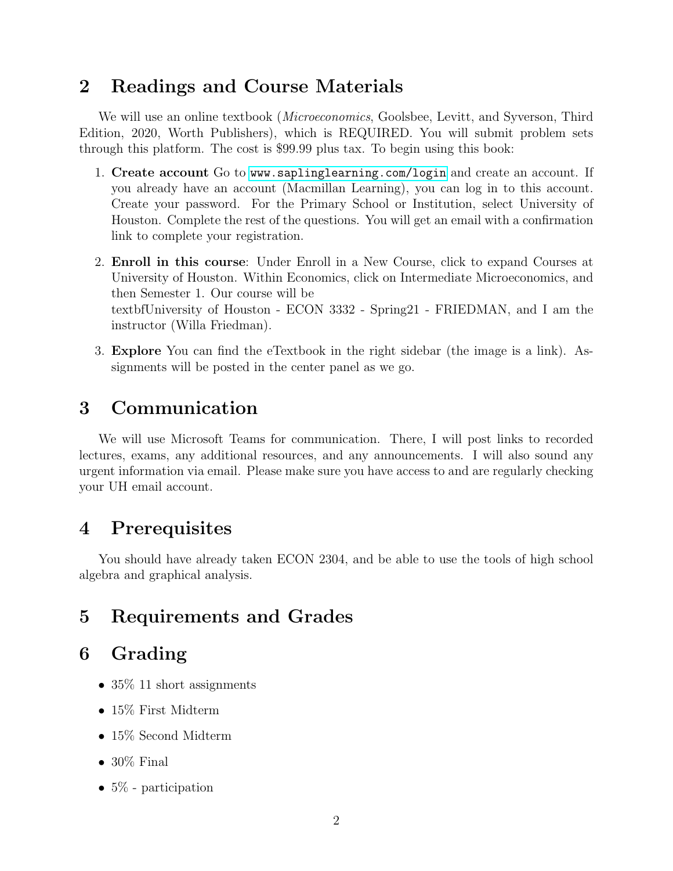### 2 Readings and Course Materials

We will use an online textbook (*Microeconomics*, Goolsbee, Levitt, and Syverson, Third Edition, 2020, Worth Publishers), which is REQUIRED. You will submit problem sets through this platform. The cost is \$99.99 plus tax. To begin using this book:

- 1. Create account Go to <www.saplinglearning.com/login> and create an account. If you already have an account (Macmillan Learning), you can log in to this account. Create your password. For the Primary School or Institution, select University of Houston. Complete the rest of the questions. You will get an email with a confirmation link to complete your registration.
- 2. Enroll in this course: Under Enroll in a New Course, click to expand Courses at University of Houston. Within Economics, click on Intermediate Microeconomics, and then Semester 1. Our course will be textbfUniversity of Houston - ECON 3332 - Spring21 - FRIEDMAN, and I am the instructor (Willa Friedman).
- 3. Explore You can find the eTextbook in the right sidebar (the image is a link). Assignments will be posted in the center panel as we go.

## 3 Communication

We will use Microsoft Teams for communication. There, I will post links to recorded lectures, exams, any additional resources, and any announcements. I will also sound any urgent information via email. Please make sure you have access to and are regularly checking your UH email account.

### 4 Prerequisites

You should have already taken ECON 2304, and be able to use the tools of high school algebra and graphical analysis.

# 5 Requirements and Grades

# 6 Grading

- 35\% 11 short assignments
- 15\% First Midterm
- 15% Second Midterm
- $30\%$  Final
- $5\%$  participation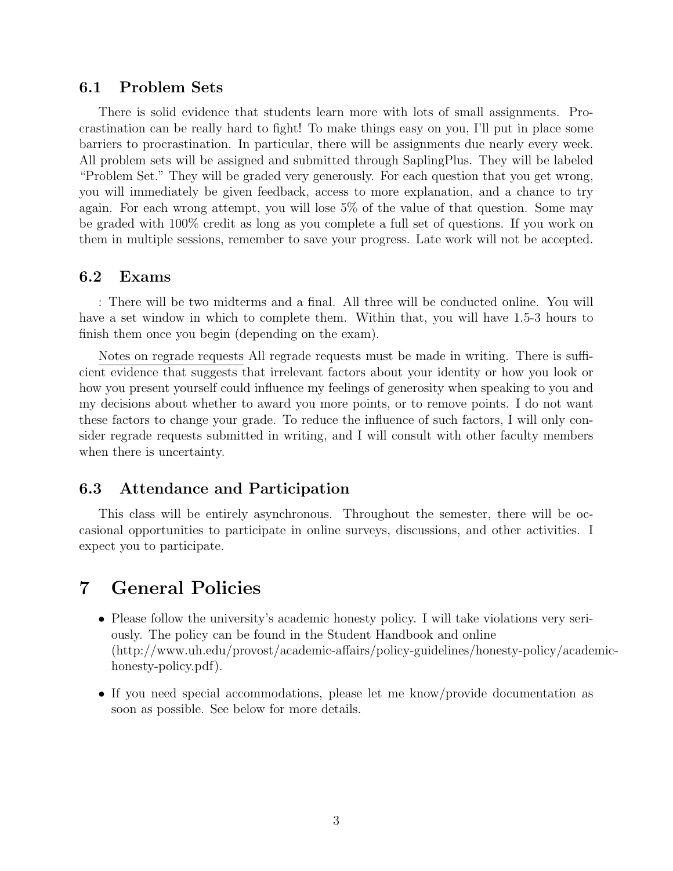#### 6.1 Problem Sets

There is solid evidence that students learn more with lots of small assignments. Procrastination can be really hard to fight! To make things easy on you, I'll put in place some barriers to procrastination. In particular, there will be assignments due nearly every week. All problem sets will be assigned and submitted through SaplingPlus. They will be labeled "Problem Set." They will be graded very generously. For each question that you get wrong, you will immediately be given feedback, access to more explanation, and a chance to try again. For each wrong attempt, you will lose 5% of the value of that question. Some may be graded with 100% credit as long as you complete a full set of questions. If you work on them in multiple sessions, remember to save your progress. Late work will not be accepted.

#### 6.2 Exams

: There will be two midterms and a final. All three will be conducted online. You will have a set window in which to complete them. Within that, you will have 1.5-3 hours to finish them once you begin (depending on the exam).

Notes on regrade requests All regrade requests must be made in writing. There is sufficient evidence that suggests that irrelevant factors about your identity or how you look or how you present yourself could influence my feelings of generosity when speaking to you and my decisions about whether to award you more points, or to remove points. I do not want these factors to change your grade. To reduce the influence of such factors, I will only consider regrade requests submitted in writing, and I will consult with other faculty members when there is uncertainty.

#### 6.3 Attendance and Participation

This class will be entirely asynchronous. Throughout the semester, there will be occasional opportunities to participate in online surveys, discussions, and other activities. I expect you to participate.

# 7 General Policies

- Please follow the university's academic honesty policy. I will take violations very seriously. The policy can be found in the Student Handbook and online (http://www.uh.edu/provost/academic-affairs/policy-guidelines/honesty-policy/academichonesty-policy.pdf).
- If you need special accommodations, please let me know/provide documentation as soon as possible. See below for more details.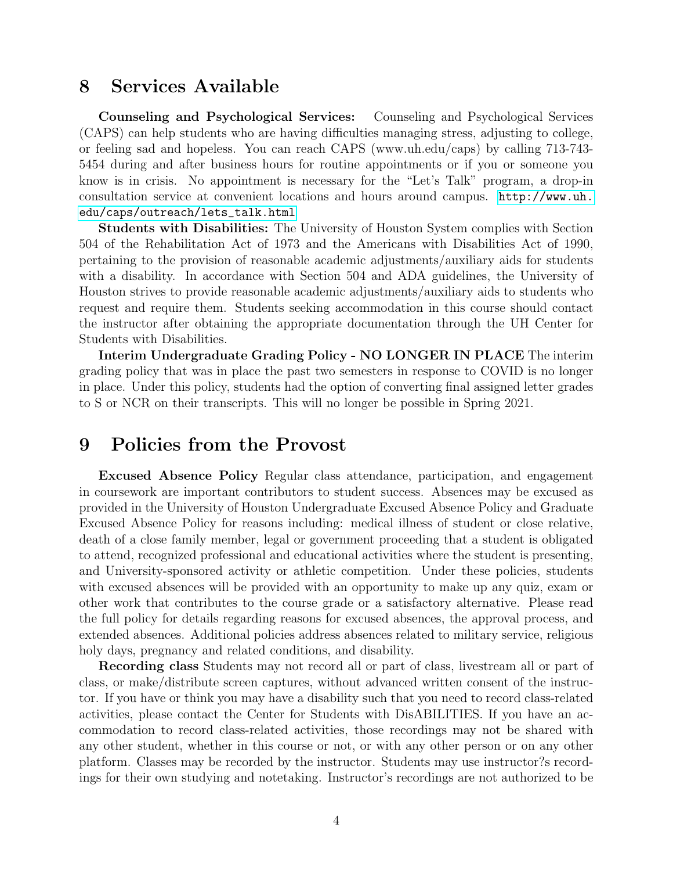### 8 Services Available

Counseling and Psychological Services: Counseling and Psychological Services (CAPS) can help students who are having difficulties managing stress, adjusting to college, or feeling sad and hopeless. You can reach CAPS (www.uh.edu/caps) by calling 713-743- 5454 during and after business hours for routine appointments or if you or someone you know is in crisis. No appointment is necessary for the "Let's Talk" program, a drop-in consultation service at convenient locations and hours around campus. [http://www.uh.](http://www.uh.edu/caps/outreach/lets_talk.html) [edu/caps/outreach/lets\\_talk.html](http://www.uh.edu/caps/outreach/lets_talk.html)

Students with Disabilities: The University of Houston System complies with Section 504 of the Rehabilitation Act of 1973 and the Americans with Disabilities Act of 1990, pertaining to the provision of reasonable academic adjustments/auxiliary aids for students with a disability. In accordance with Section 504 and ADA guidelines, the University of Houston strives to provide reasonable academic adjustments/auxiliary aids to students who request and require them. Students seeking accommodation in this course should contact the instructor after obtaining the appropriate documentation through the UH Center for Students with Disabilities.

Interim Undergraduate Grading Policy - NO LONGER IN PLACE The interim grading policy that was in place the past two semesters in response to COVID is no longer in place. Under this policy, students had the option of converting final assigned letter grades to S or NCR on their transcripts. This will no longer be possible in Spring 2021.

### 9 Policies from the Provost

Excused Absence Policy Regular class attendance, participation, and engagement in coursework are important contributors to student success. Absences may be excused as provided in the University of Houston Undergraduate Excused Absence Policy and Graduate Excused Absence Policy for reasons including: medical illness of student or close relative, death of a close family member, legal or government proceeding that a student is obligated to attend, recognized professional and educational activities where the student is presenting, and University-sponsored activity or athletic competition. Under these policies, students with excused absences will be provided with an opportunity to make up any quiz, exam or other work that contributes to the course grade or a satisfactory alternative. Please read the full policy for details regarding reasons for excused absences, the approval process, and extended absences. Additional policies address absences related to military service, religious holy days, pregnancy and related conditions, and disability.

Recording class Students may not record all or part of class, livestream all or part of class, or make/distribute screen captures, without advanced written consent of the instructor. If you have or think you may have a disability such that you need to record class-related activities, please contact the Center for Students with DisABILITIES. If you have an accommodation to record class-related activities, those recordings may not be shared with any other student, whether in this course or not, or with any other person or on any other platform. Classes may be recorded by the instructor. Students may use instructor?s recordings for their own studying and notetaking. Instructor's recordings are not authorized to be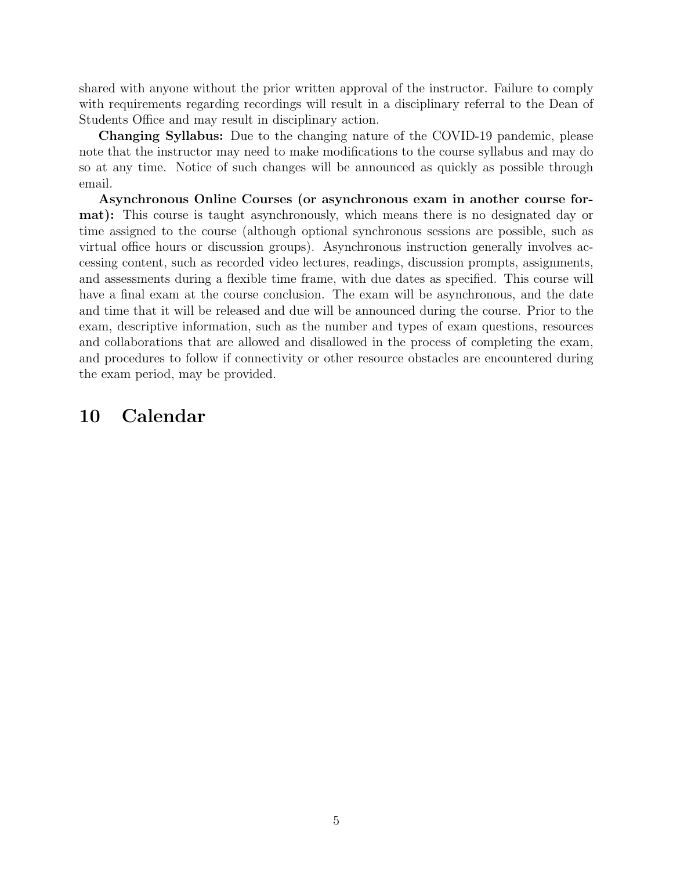shared with anyone without the prior written approval of the instructor. Failure to comply with requirements regarding recordings will result in a disciplinary referral to the Dean of Students Office and may result in disciplinary action.

Changing Syllabus: Due to the changing nature of the COVID-19 pandemic, please note that the instructor may need to make modifications to the course syllabus and may do so at any time. Notice of such changes will be announced as quickly as possible through email.

Asynchronous Online Courses (or asynchronous exam in another course format): This course is taught asynchronously, which means there is no designated day or time assigned to the course (although optional synchronous sessions are possible, such as virtual office hours or discussion groups). Asynchronous instruction generally involves accessing content, such as recorded video lectures, readings, discussion prompts, assignments, and assessments during a flexible time frame, with due dates as specified. This course will have a final exam at the course conclusion. The exam will be asynchronous, and the date and time that it will be released and due will be announced during the course. Prior to the exam, descriptive information, such as the number and types of exam questions, resources and collaborations that are allowed and disallowed in the process of completing the exam, and procedures to follow if connectivity or other resource obstacles are encountered during the exam period, may be provided.

### 10 Calendar